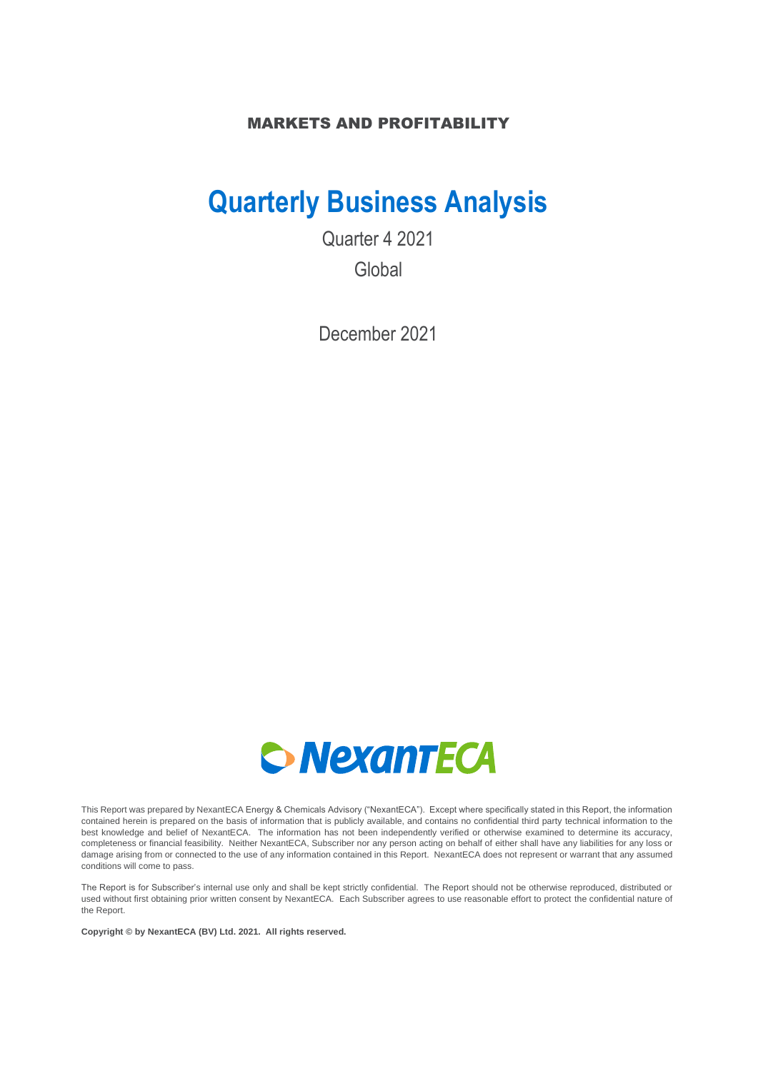### MARKETS AND PROFITABILITY

# **Quarterly Business Analysis**

Quarter 4 2021 Global

December 2021



This Report was prepared by NexantECA Energy & Chemicals Advisory ("NexantECA"). Except where specifically stated in this Report, the information contained herein is prepared on the basis of information that is publicly available, and contains no confidential third party technical information to the best knowledge and belief of NexantECA. The information has not been independently verified or otherwise examined to determine its accuracy, completeness or financial feasibility. Neither NexantECA, Subscriber nor any person acting on behalf of either shall have any liabilities for any loss or damage arising from or connected to the use of any information contained in this Report. NexantECA does not represent or warrant that any assumed conditions will come to pass.

The Report is for Subscriber's internal use only and shall be kept strictly confidential. The Report should not be otherwise reproduced, distributed or used without first obtaining prior written consent by NexantECA. Each Subscriber agrees to use reasonable effort to protect the confidential nature of the Report.

**Copyright © by NexantECA (BV) Ltd. 2021. All rights reserved.**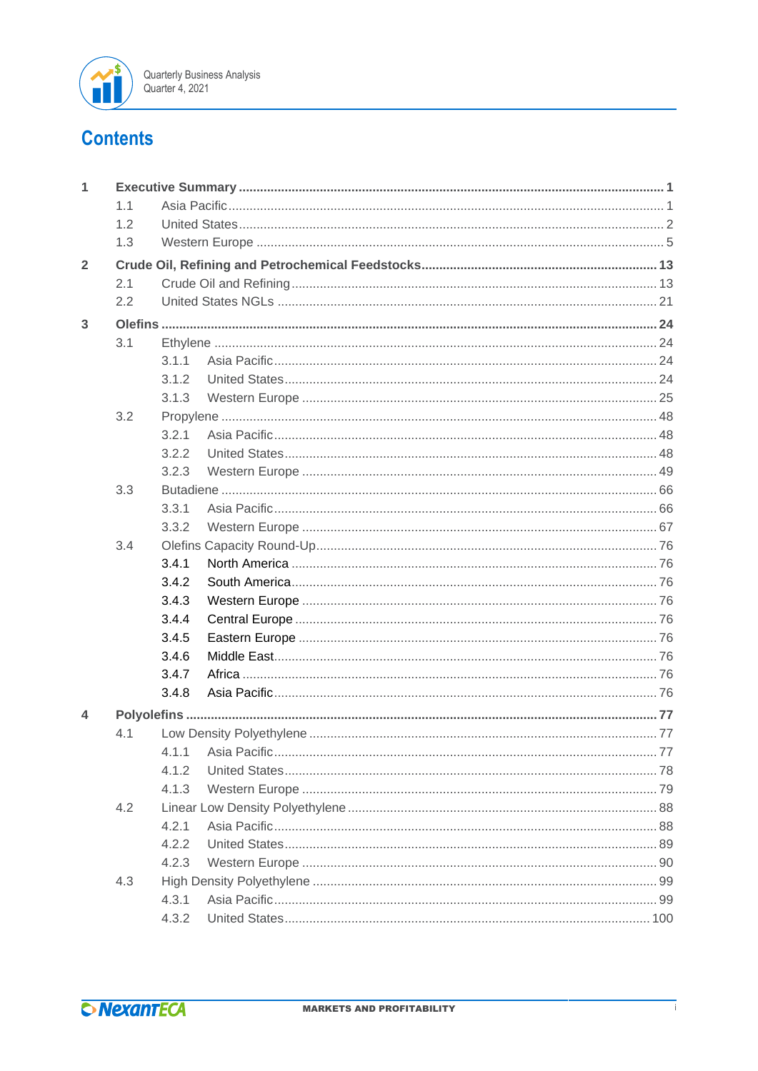

## **Contents**

| 1              |     |       |  |
|----------------|-----|-------|--|
|                | 1.1 |       |  |
|                | 1.2 |       |  |
|                | 1.3 |       |  |
| $\overline{2}$ |     |       |  |
|                | 2.1 |       |  |
|                | 2.2 |       |  |
| 3              |     |       |  |
|                | 3.1 |       |  |
|                |     | 3.1.1 |  |
|                |     | 3.1.2 |  |
|                |     | 3.1.3 |  |
|                | 3.2 |       |  |
|                |     | 3.2.1 |  |
|                |     | 3.2.2 |  |
|                |     | 3.2.3 |  |
|                | 3.3 |       |  |
|                |     | 3.3.1 |  |
|                |     | 3.3.2 |  |
|                | 3.4 |       |  |
|                |     | 3.4.1 |  |
|                |     | 3.4.2 |  |
|                |     | 3.4.3 |  |
|                |     | 3.4.4 |  |
|                |     | 3.4.5 |  |
|                |     | 3.4.6 |  |
|                |     | 3.4.7 |  |
|                |     | 3.4.8 |  |
| 4              |     |       |  |
|                | 4.1 |       |  |
|                |     |       |  |
|                |     | 4.1.2 |  |
|                |     | 4.1.3 |  |
|                | 4.2 |       |  |
|                |     | 4.2.1 |  |
|                |     | 4.2.2 |  |
|                |     | 4.2.3 |  |
|                | 4.3 |       |  |
|                |     | 4.3.1 |  |
|                |     | 4.3.2 |  |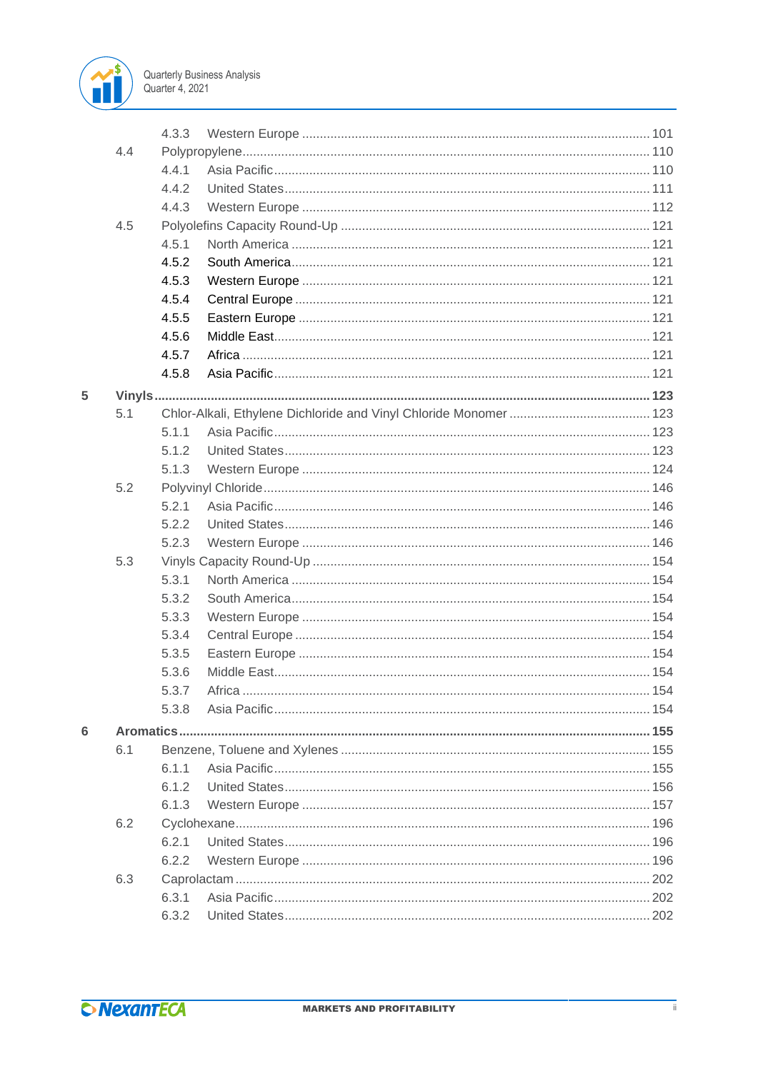

|   |     | 4.3.3 |  |
|---|-----|-------|--|
|   | 4.4 |       |  |
|   |     | 4.4.1 |  |
|   |     | 4.4.2 |  |
|   |     | 4.4.3 |  |
|   | 4.5 |       |  |
|   |     | 4.5.1 |  |
|   |     | 4.5.2 |  |
|   |     | 4.5.3 |  |
|   |     | 4.5.4 |  |
|   |     | 4.5.5 |  |
|   |     | 4.5.6 |  |
|   |     | 4.5.7 |  |
|   |     | 4.5.8 |  |
| 5 |     |       |  |
|   | 5.1 |       |  |
|   |     | 5.1.1 |  |
|   |     | 5.1.2 |  |
|   |     | 5.1.3 |  |
|   | 5.2 |       |  |
|   |     | 5.2.1 |  |
|   |     | 5.2.2 |  |
|   |     | 5.2.3 |  |
|   | 5.3 |       |  |
|   |     | 5.3.1 |  |
|   |     | 5.3.2 |  |
|   |     | 5.3.3 |  |
|   |     | 5.3.4 |  |
|   |     | 5.3.5 |  |
|   |     | 5.3.6 |  |
|   |     | 5.3.7 |  |
|   |     | 5.3.8 |  |
| 6 |     |       |  |
|   | 6.1 |       |  |
|   |     | 6.1.1 |  |
|   |     | 6.1.2 |  |
|   |     | 6.1.3 |  |
|   | 6.2 |       |  |
|   |     | 6.2.1 |  |
|   |     | 6.2.2 |  |
|   | 6.3 |       |  |
|   |     | 6.3.1 |  |
|   |     | 6.3.2 |  |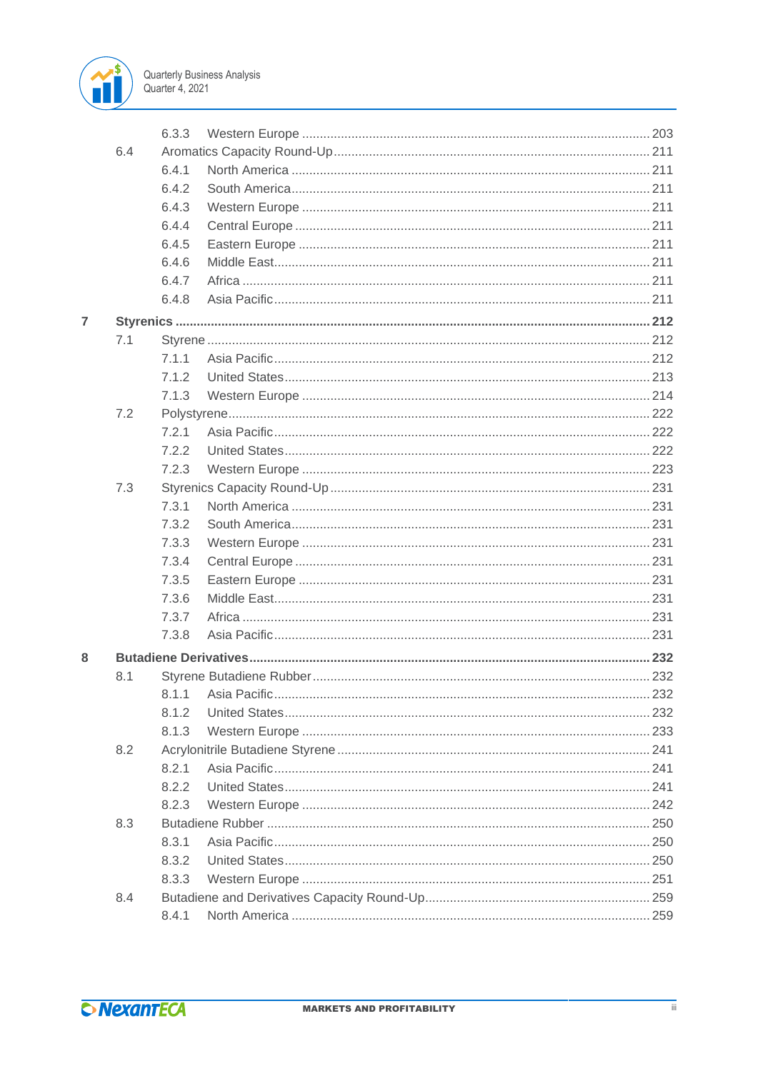

|                |     | 6.3.3 |  |
|----------------|-----|-------|--|
|                | 6.4 |       |  |
|                |     | 6.4.1 |  |
|                |     | 6.4.2 |  |
|                |     | 6.4.3 |  |
|                |     | 6.4.4 |  |
|                |     | 6.4.5 |  |
|                |     | 6.4.6 |  |
|                |     | 6.4.7 |  |
|                |     | 6.4.8 |  |
| $\overline{7}$ |     |       |  |
|                | 7.1 |       |  |
|                |     | 7.1.1 |  |
|                |     | 7.1.2 |  |
|                |     | 7.1.3 |  |
|                | 7.2 |       |  |
|                |     | 7.2.1 |  |
|                |     | 7.2.2 |  |
|                |     | 7.2.3 |  |
|                | 7.3 |       |  |
|                |     | 7.3.1 |  |
|                |     | 7.3.2 |  |
|                |     | 7.3.3 |  |
|                |     | 7.3.4 |  |
|                |     | 7.3.5 |  |
|                |     | 7.3.6 |  |
|                |     | 7.3.7 |  |
|                |     | 7.3.8 |  |
| 8              |     |       |  |
|                | 8.1 |       |  |
|                |     |       |  |
|                |     | 8.1.2 |  |
|                |     | 8.1.3 |  |
|                | 8.2 |       |  |
|                |     | 8.2.1 |  |
|                |     | 8.2.2 |  |
|                |     | 8.2.3 |  |
|                | 8.3 |       |  |
|                |     | 8.3.1 |  |
|                |     | 8.3.2 |  |
|                |     | 8.3.3 |  |
|                | 8.4 |       |  |
|                |     | 8.4.1 |  |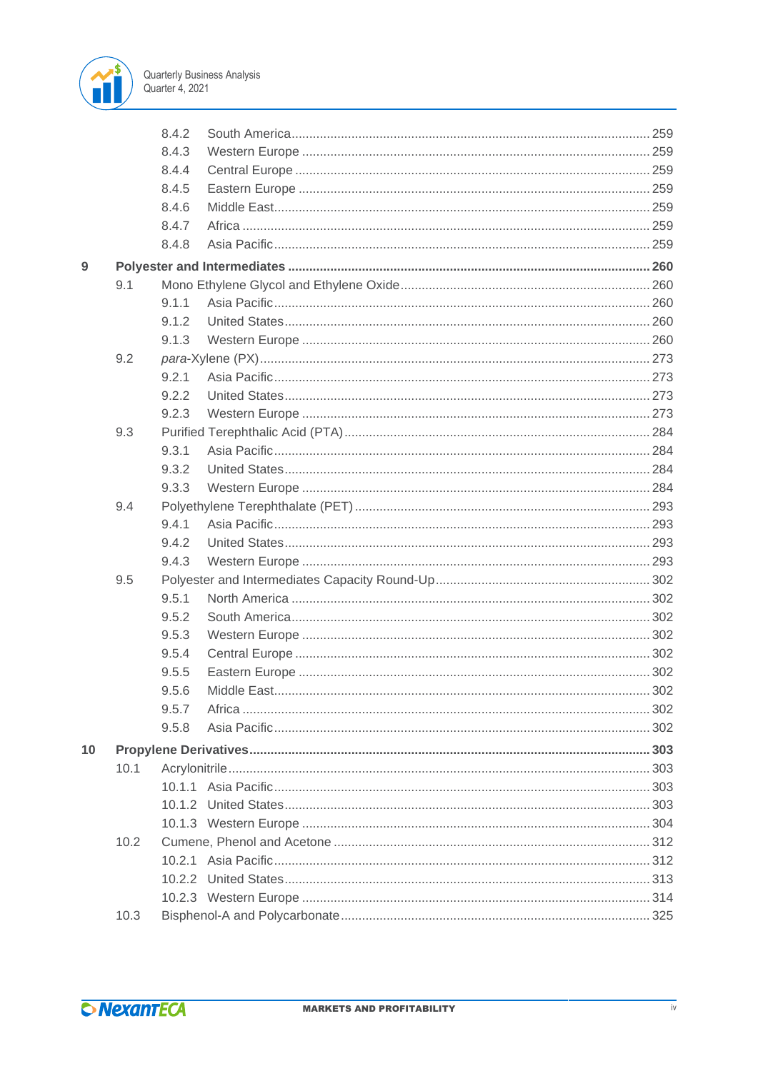

|    |      | 8.4.2 |  |
|----|------|-------|--|
|    |      | 8.4.3 |  |
|    |      | 8.4.4 |  |
|    |      | 8.4.5 |  |
|    |      | 8.4.6 |  |
|    |      | 8.4.7 |  |
|    |      | 8.4.8 |  |
| 9  |      |       |  |
|    | 9.1  |       |  |
|    |      | 9.1.1 |  |
|    |      | 9.1.2 |  |
|    |      | 9.1.3 |  |
|    | 9.2  |       |  |
|    |      | 9.2.1 |  |
|    |      | 9.2.2 |  |
|    |      | 9.2.3 |  |
|    | 9.3  |       |  |
|    |      | 9.3.1 |  |
|    |      | 9.3.2 |  |
|    |      | 9.3.3 |  |
|    | 9.4  |       |  |
|    |      | 9.4.1 |  |
|    |      | 9.4.2 |  |
|    |      | 9.4.3 |  |
|    | 9.5  |       |  |
|    |      | 9.5.1 |  |
|    |      | 9.5.2 |  |
|    |      | 9.5.3 |  |
|    |      | 9.5.4 |  |
|    |      | 9.5.5 |  |
|    |      | 9.5.6 |  |
|    |      | 9.5.7 |  |
|    |      | 9.5.8 |  |
| 10 |      |       |  |
|    | 10.1 |       |  |
|    |      |       |  |
|    |      |       |  |
|    |      |       |  |
|    | 10.2 |       |  |
|    |      |       |  |
|    |      |       |  |
|    |      |       |  |
|    | 10.3 |       |  |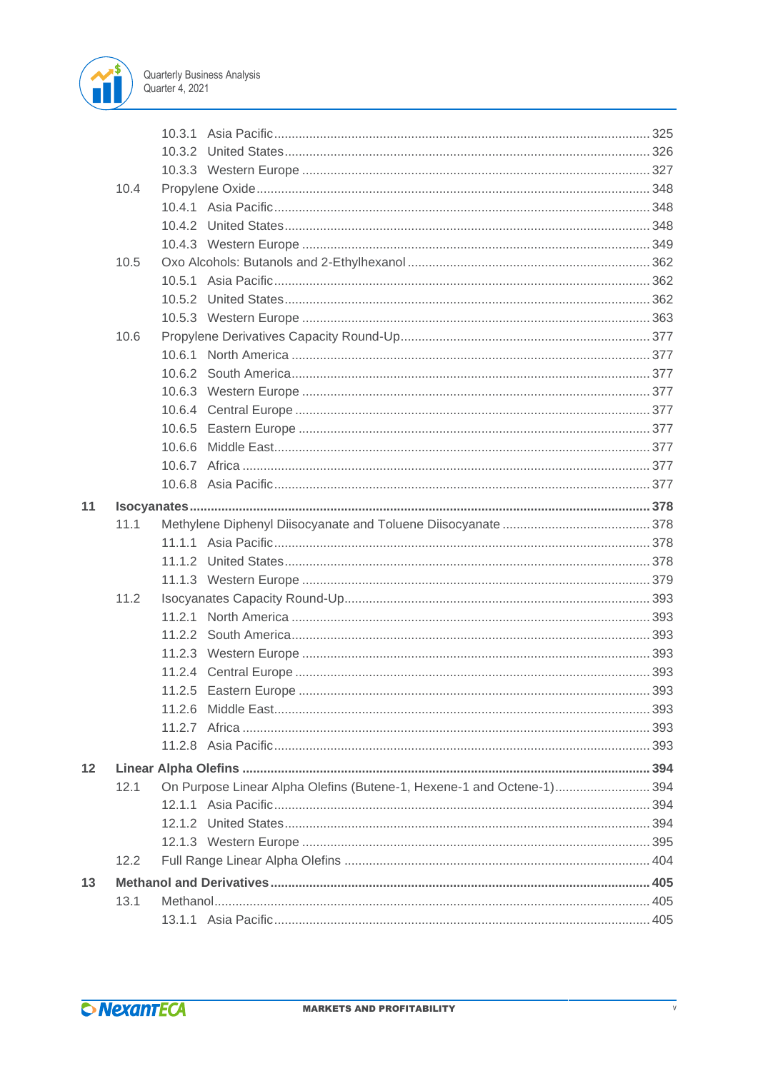

|    | 10.4 |        |                                                                       |  |
|----|------|--------|-----------------------------------------------------------------------|--|
|    |      |        |                                                                       |  |
|    |      |        |                                                                       |  |
|    |      |        |                                                                       |  |
|    | 10.5 |        |                                                                       |  |
|    |      |        |                                                                       |  |
|    |      |        |                                                                       |  |
|    |      |        |                                                                       |  |
|    | 10.6 |        |                                                                       |  |
|    |      |        |                                                                       |  |
|    |      |        |                                                                       |  |
|    |      |        |                                                                       |  |
|    |      |        |                                                                       |  |
|    |      |        |                                                                       |  |
|    |      | 10.6.6 |                                                                       |  |
|    |      |        |                                                                       |  |
|    |      |        |                                                                       |  |
| 11 |      |        |                                                                       |  |
|    | 11.1 |        |                                                                       |  |
|    |      |        |                                                                       |  |
|    |      |        |                                                                       |  |
|    |      |        |                                                                       |  |
|    | 11.2 |        |                                                                       |  |
|    |      |        |                                                                       |  |
|    |      |        |                                                                       |  |
|    |      |        |                                                                       |  |
|    |      |        |                                                                       |  |
|    |      |        |                                                                       |  |
|    |      |        |                                                                       |  |
|    |      |        |                                                                       |  |
|    |      |        |                                                                       |  |
| 12 |      |        |                                                                       |  |
|    | 12.1 |        | On Purpose Linear Alpha Olefins (Butene-1, Hexene-1 and Octene-1) 394 |  |
|    |      |        |                                                                       |  |
|    |      |        |                                                                       |  |
|    |      |        |                                                                       |  |
|    | 12.2 |        |                                                                       |  |
| 13 |      |        |                                                                       |  |
|    | 13.1 |        |                                                                       |  |
|    |      |        |                                                                       |  |
|    |      |        |                                                                       |  |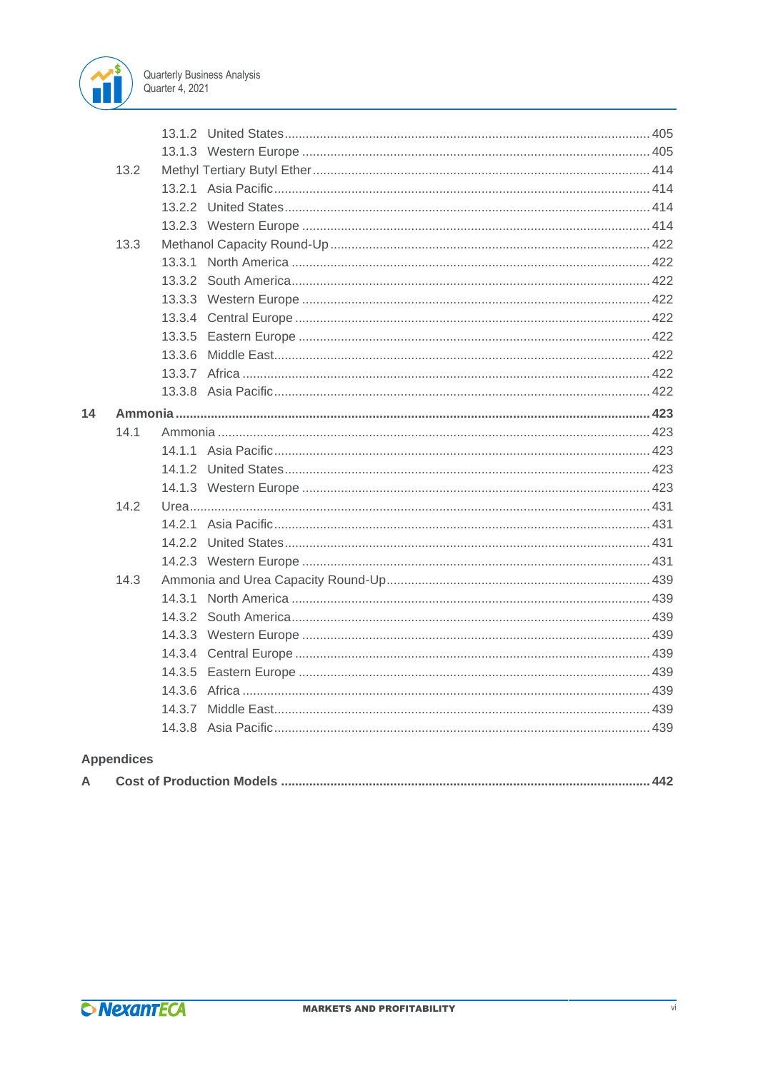

|    | 13.2              |        |  |
|----|-------------------|--------|--|
|    |                   |        |  |
|    |                   |        |  |
|    |                   |        |  |
|    | 13.3              |        |  |
|    |                   |        |  |
|    |                   |        |  |
|    |                   |        |  |
|    |                   |        |  |
|    |                   |        |  |
|    |                   | 13.3.6 |  |
|    |                   |        |  |
|    |                   |        |  |
| 14 |                   |        |  |
|    | 141               |        |  |
|    |                   |        |  |
|    |                   |        |  |
|    |                   |        |  |
|    | 14.2              |        |  |
|    |                   |        |  |
|    |                   |        |  |
|    |                   |        |  |
|    | 14.3              |        |  |
|    |                   |        |  |
|    |                   |        |  |
|    |                   |        |  |
|    |                   |        |  |
|    |                   |        |  |
|    |                   |        |  |
|    |                   |        |  |
|    |                   |        |  |
|    | <b>Appendices</b> |        |  |

|--|--|--|--|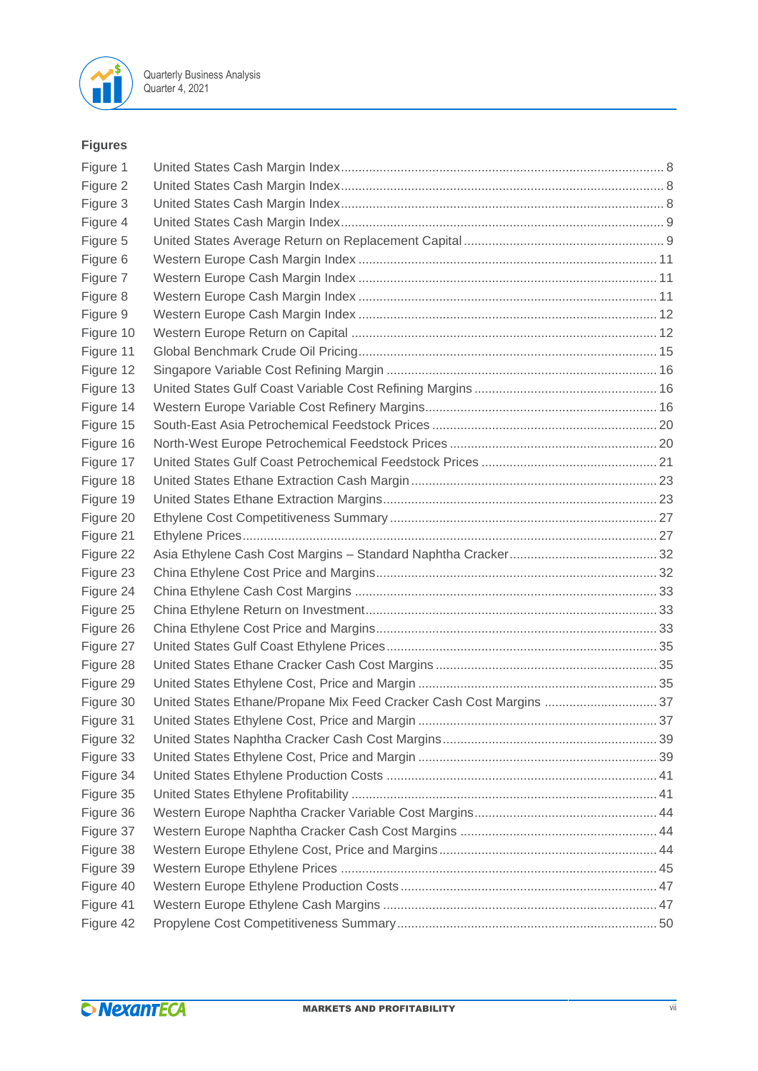

### **Figures**

| Figure 1  |                                                                     |  |
|-----------|---------------------------------------------------------------------|--|
| Figure 2  |                                                                     |  |
| Figure 3  |                                                                     |  |
| Figure 4  |                                                                     |  |
| Figure 5  |                                                                     |  |
| Figure 6  |                                                                     |  |
| Figure 7  |                                                                     |  |
| Figure 8  |                                                                     |  |
| Figure 9  |                                                                     |  |
| Figure 10 |                                                                     |  |
| Figure 11 |                                                                     |  |
| Figure 12 |                                                                     |  |
| Figure 13 |                                                                     |  |
| Figure 14 |                                                                     |  |
| Figure 15 |                                                                     |  |
| Figure 16 |                                                                     |  |
| Figure 17 |                                                                     |  |
| Figure 18 |                                                                     |  |
| Figure 19 |                                                                     |  |
| Figure 20 |                                                                     |  |
| Figure 21 |                                                                     |  |
| Figure 22 |                                                                     |  |
| Figure 23 |                                                                     |  |
| Figure 24 |                                                                     |  |
| Figure 25 |                                                                     |  |
| Figure 26 |                                                                     |  |
| Figure 27 |                                                                     |  |
| Figure 28 |                                                                     |  |
| Figure 29 |                                                                     |  |
| Figure 30 | United States Ethane/Propane Mix Feed Cracker Cash Cost Margins  37 |  |
| Figure 31 |                                                                     |  |
| Figure 32 |                                                                     |  |
| Figure 33 |                                                                     |  |
| Figure 34 |                                                                     |  |
| Figure 35 |                                                                     |  |
| Figure 36 |                                                                     |  |
| Figure 37 |                                                                     |  |
| Figure 38 |                                                                     |  |
| Figure 39 |                                                                     |  |
| Figure 40 |                                                                     |  |
| Figure 41 |                                                                     |  |
| Figure 42 |                                                                     |  |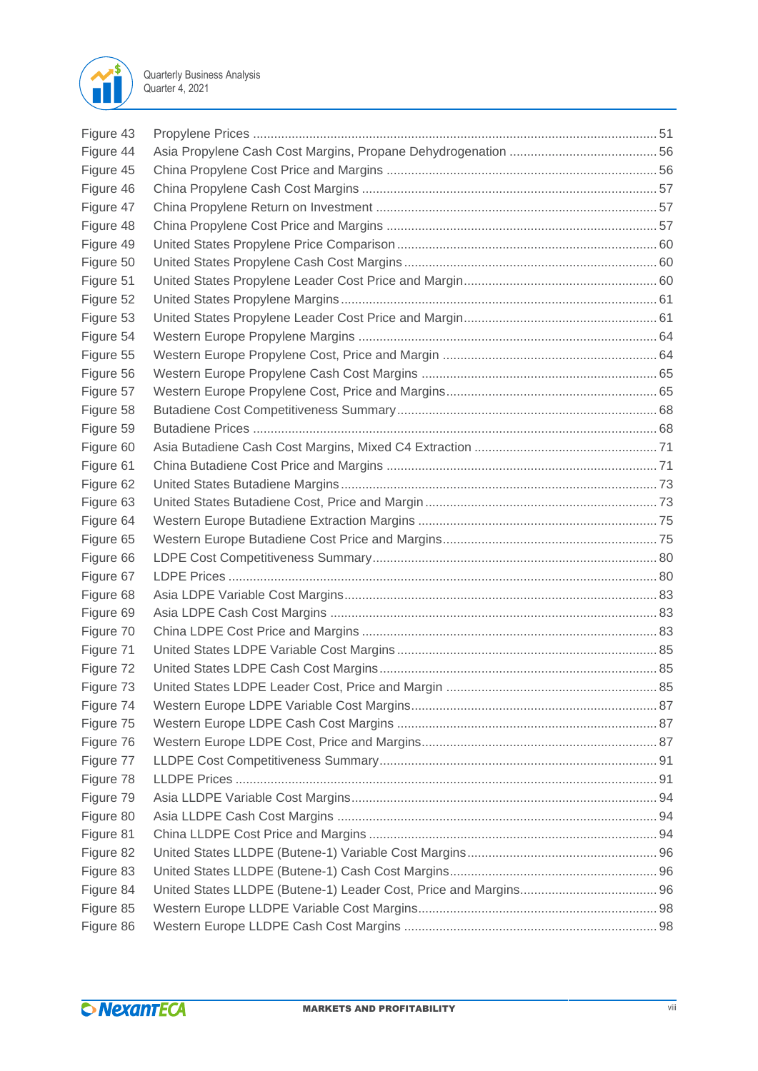

| Figure 43 |  |
|-----------|--|
| Figure 44 |  |
| Figure 45 |  |
| Figure 46 |  |
| Figure 47 |  |
| Figure 48 |  |
| Figure 49 |  |
| Figure 50 |  |
| Figure 51 |  |
| Figure 52 |  |
| Figure 53 |  |
| Figure 54 |  |
| Figure 55 |  |
| Figure 56 |  |
| Figure 57 |  |
| Figure 58 |  |
| Figure 59 |  |
| Figure 60 |  |
| Figure 61 |  |
| Figure 62 |  |
| Figure 63 |  |
| Figure 64 |  |
| Figure 65 |  |
| Figure 66 |  |
| Figure 67 |  |
| Figure 68 |  |
| Figure 69 |  |
| Figure 70 |  |
| Figure 71 |  |
| Figure 72 |  |
| Figure 73 |  |
| Figure 74 |  |
| Figure 75 |  |
| Figure 76 |  |
| Figure 77 |  |
| Figure 78 |  |
| Figure 79 |  |
| Figure 80 |  |
| Figure 81 |  |
| Figure 82 |  |
| Figure 83 |  |
| Figure 84 |  |
| Figure 85 |  |
| Figure 86 |  |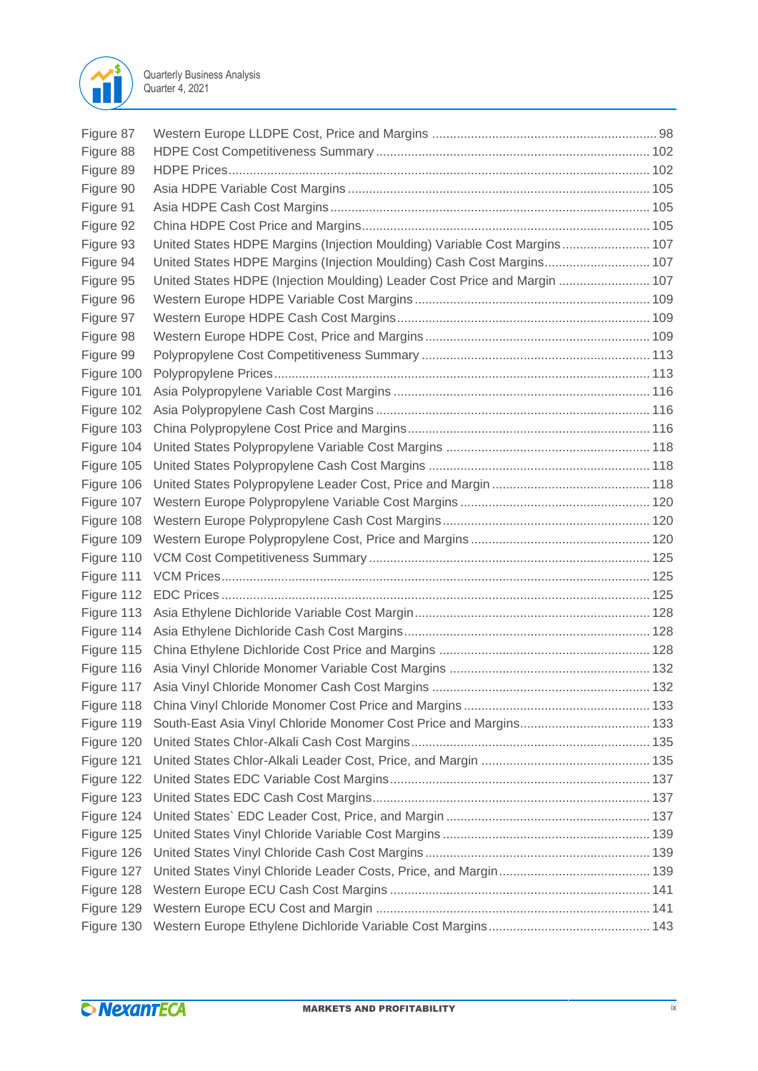

| Figure 87  |                                                                           |  |
|------------|---------------------------------------------------------------------------|--|
| Figure 88  |                                                                           |  |
| Figure 89  |                                                                           |  |
| Figure 90  |                                                                           |  |
| Figure 91  |                                                                           |  |
| Figure 92  |                                                                           |  |
| Figure 93  | United States HDPE Margins (Injection Moulding) Variable Cost Margins 107 |  |
| Figure 94  | United States HDPE Margins (Injection Moulding) Cash Cost Margins 107     |  |
| Figure 95  | United States HDPE (Injection Moulding) Leader Cost Price and Margin  107 |  |
| Figure 96  |                                                                           |  |
| Figure 97  |                                                                           |  |
| Figure 98  |                                                                           |  |
| Figure 99  |                                                                           |  |
| Figure 100 |                                                                           |  |
| Figure 101 |                                                                           |  |
| Figure 102 |                                                                           |  |
| Figure 103 |                                                                           |  |
| Figure 104 |                                                                           |  |
| Figure 105 |                                                                           |  |
| Figure 106 |                                                                           |  |
| Figure 107 |                                                                           |  |
| Figure 108 |                                                                           |  |
| Figure 109 |                                                                           |  |
| Figure 110 |                                                                           |  |
| Figure 111 |                                                                           |  |
| Figure 112 |                                                                           |  |
| Figure 113 |                                                                           |  |
| Figure 114 |                                                                           |  |
| Figure 115 |                                                                           |  |
| Figure 116 |                                                                           |  |
| Figure 117 |                                                                           |  |
| Figure 118 |                                                                           |  |
| Figure 119 |                                                                           |  |
| Figure 120 |                                                                           |  |
| Figure 121 |                                                                           |  |
| Figure 122 |                                                                           |  |
| Figure 123 |                                                                           |  |
| Figure 124 |                                                                           |  |
| Figure 125 |                                                                           |  |
| Figure 126 |                                                                           |  |
| Figure 127 |                                                                           |  |
| Figure 128 |                                                                           |  |
| Figure 129 |                                                                           |  |
| Figure 130 |                                                                           |  |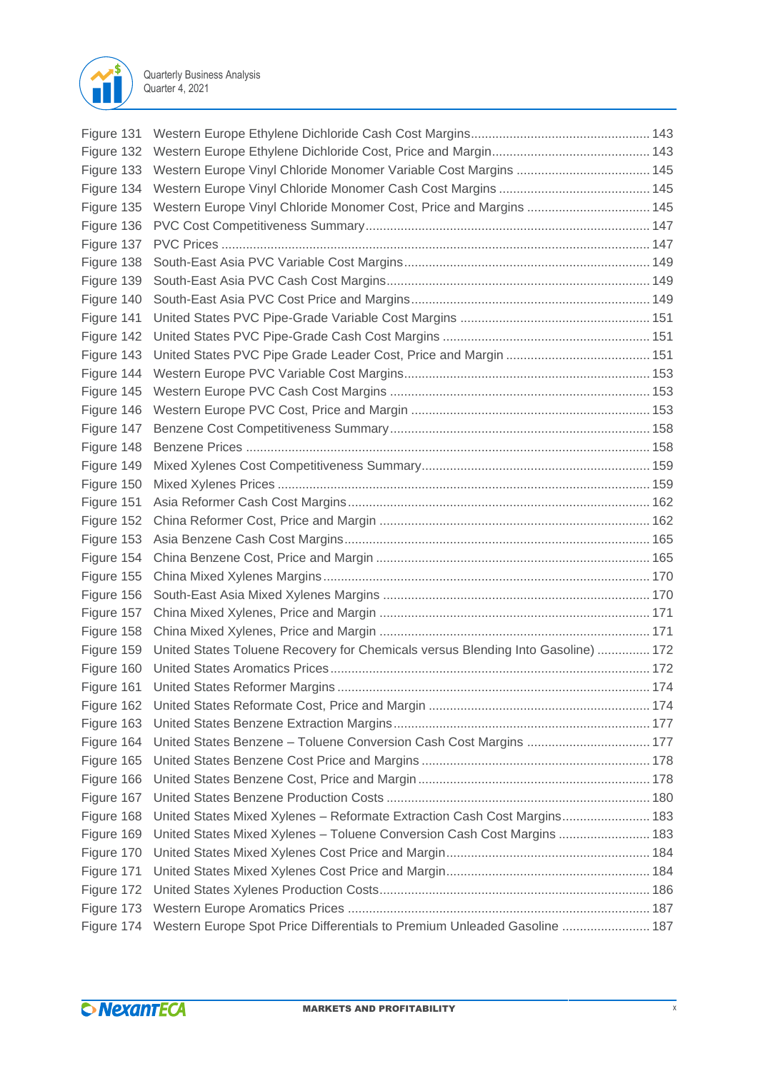

| Figure 131 |                                                                                  |  |
|------------|----------------------------------------------------------------------------------|--|
|            |                                                                                  |  |
| Figure 133 |                                                                                  |  |
| Figure 134 |                                                                                  |  |
| Figure 135 | Western Europe Vinyl Chloride Monomer Cost, Price and Margins  145               |  |
| Figure 136 |                                                                                  |  |
| Figure 137 |                                                                                  |  |
| Figure 138 |                                                                                  |  |
| Figure 139 |                                                                                  |  |
| Figure 140 |                                                                                  |  |
| Figure 141 |                                                                                  |  |
| Figure 142 |                                                                                  |  |
| Figure 143 |                                                                                  |  |
| Figure 144 |                                                                                  |  |
| Figure 145 |                                                                                  |  |
| Figure 146 |                                                                                  |  |
| Figure 147 |                                                                                  |  |
| Figure 148 |                                                                                  |  |
| Figure 149 |                                                                                  |  |
| Figure 150 |                                                                                  |  |
| Figure 151 |                                                                                  |  |
| Figure 152 |                                                                                  |  |
| Figure 153 |                                                                                  |  |
| Figure 154 |                                                                                  |  |
| Figure 155 |                                                                                  |  |
| Figure 156 |                                                                                  |  |
| Figure 157 |                                                                                  |  |
| Figure 158 |                                                                                  |  |
| Figure 159 | United States Toluene Recovery for Chemicals versus Blending Into Gasoline)  172 |  |
| Figure 160 |                                                                                  |  |
| Figure 161 |                                                                                  |  |
| Figure 162 |                                                                                  |  |
| Figure 163 |                                                                                  |  |
| Figure 164 |                                                                                  |  |
| Figure 165 |                                                                                  |  |
| Figure 166 |                                                                                  |  |
| Figure 167 |                                                                                  |  |
| Figure 168 | United States Mixed Xylenes - Reformate Extraction Cash Cost Margins 183         |  |
| Figure 169 | United States Mixed Xylenes - Toluene Conversion Cash Cost Margins  183          |  |
| Figure 170 |                                                                                  |  |
| Figure 171 |                                                                                  |  |
| Figure 172 |                                                                                  |  |
| Figure 173 |                                                                                  |  |
| Figure 174 | Western Europe Spot Price Differentials to Premium Unleaded Gasoline  187        |  |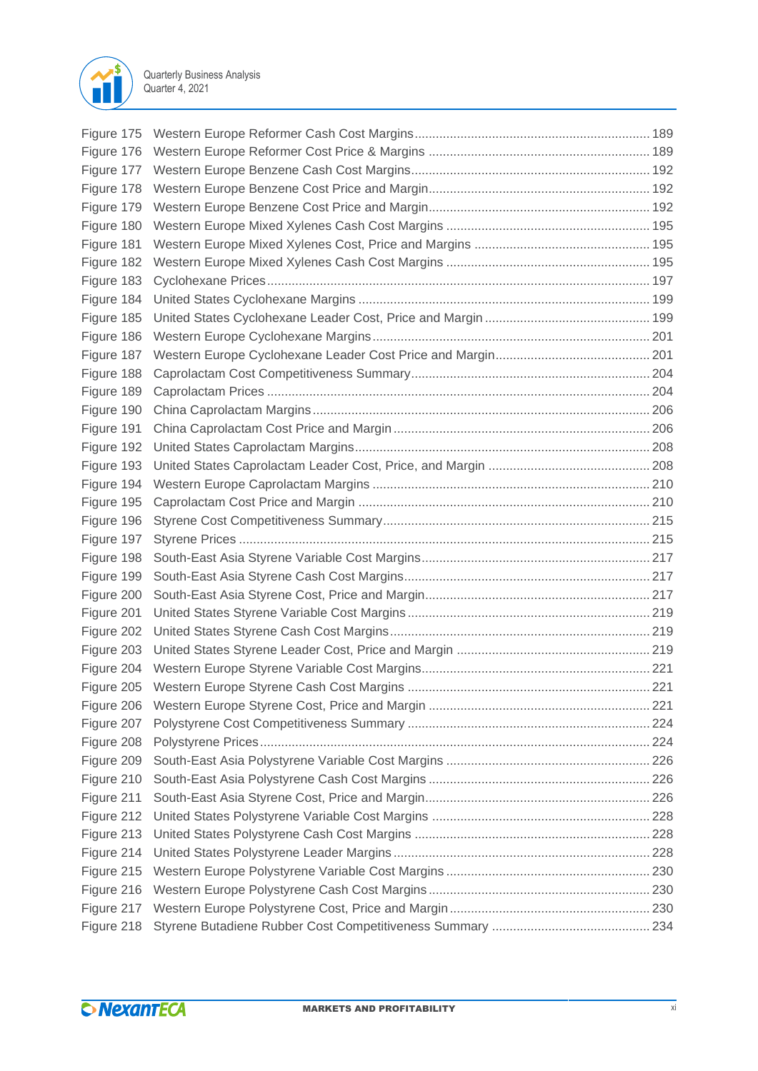

| Figure 178 |  |
|------------|--|
| Figure 179 |  |
| Figure 180 |  |
| Figure 181 |  |
| Figure 182 |  |
| Figure 183 |  |
| Figure 184 |  |
| Figure 185 |  |
| Figure 186 |  |
| Figure 187 |  |
| Figure 188 |  |
| Figure 189 |  |
| Figure 190 |  |
| Figure 191 |  |
| Figure 192 |  |
| Figure 193 |  |
| Figure 194 |  |
| Figure 195 |  |
| Figure 196 |  |
| Figure 197 |  |
| Figure 198 |  |
| Figure 199 |  |
| Figure 200 |  |
| Figure 201 |  |
| Figure 202 |  |
| Figure 203 |  |
|            |  |
|            |  |
| Figure 206 |  |
| Figure 207 |  |
| Figure 208 |  |
| Figure 209 |  |
| Figure 210 |  |
| Figure 211 |  |
| Figure 212 |  |
| Figure 213 |  |
| Figure 214 |  |
| Figure 215 |  |
| Figure 216 |  |
| Figure 217 |  |
| Figure 218 |  |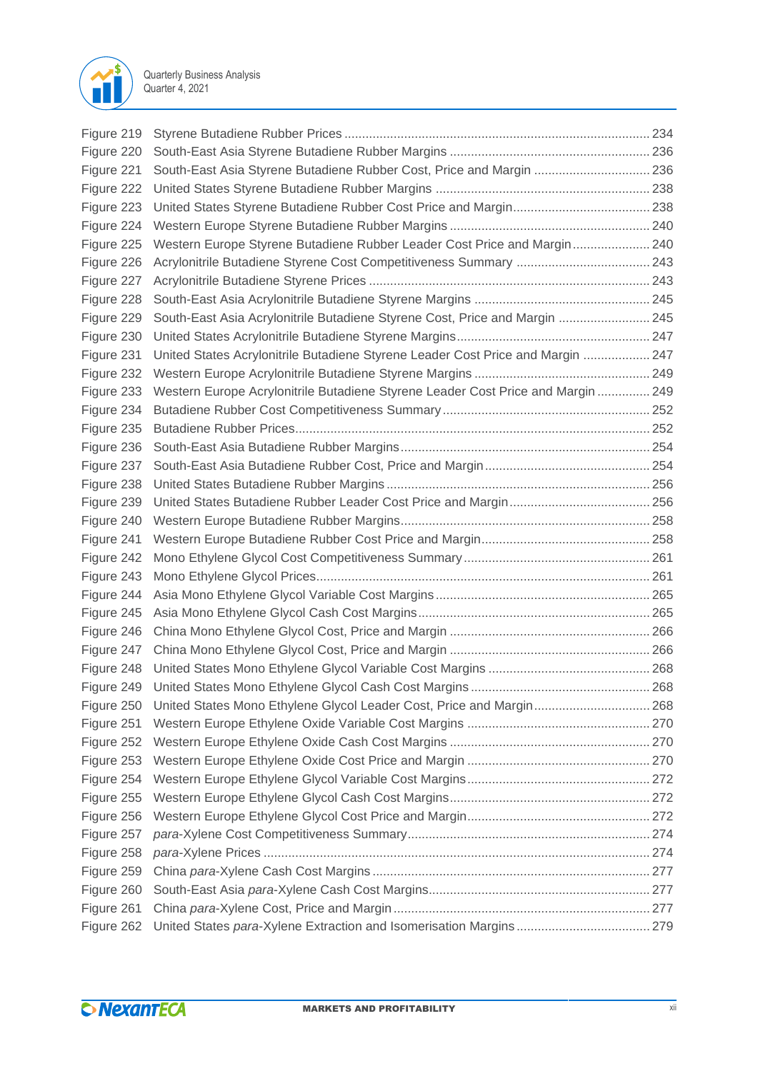

| Figure 219 |                                                                                  |  |
|------------|----------------------------------------------------------------------------------|--|
| Figure 220 |                                                                                  |  |
| Figure 221 | South-East Asia Styrene Butadiene Rubber Cost, Price and Margin  236             |  |
| Figure 222 |                                                                                  |  |
| Figure 223 |                                                                                  |  |
| Figure 224 |                                                                                  |  |
| Figure 225 | Western Europe Styrene Butadiene Rubber Leader Cost Price and Margin 240         |  |
| Figure 226 |                                                                                  |  |
| Figure 227 |                                                                                  |  |
| Figure 228 |                                                                                  |  |
| Figure 229 | South-East Asia Acrylonitrile Butadiene Styrene Cost, Price and Margin  245      |  |
| Figure 230 |                                                                                  |  |
| Figure 231 | United States Acrylonitrile Butadiene Styrene Leader Cost Price and Margin  247  |  |
| Figure 232 |                                                                                  |  |
| Figure 233 | Western Europe Acrylonitrile Butadiene Styrene Leader Cost Price and Margin  249 |  |
| Figure 234 |                                                                                  |  |
| Figure 235 |                                                                                  |  |
| Figure 236 |                                                                                  |  |
| Figure 237 |                                                                                  |  |
| Figure 238 |                                                                                  |  |
| Figure 239 |                                                                                  |  |
| Figure 240 |                                                                                  |  |
| Figure 241 |                                                                                  |  |
| Figure 242 |                                                                                  |  |
| Figure 243 |                                                                                  |  |
| Figure 244 |                                                                                  |  |
| Figure 245 |                                                                                  |  |
| Figure 246 |                                                                                  |  |
| Figure 247 |                                                                                  |  |
| Figure 248 |                                                                                  |  |
| Figure 249 |                                                                                  |  |
| Figure 250 | United States Mono Ethylene Glycol Leader Cost, Price and Margin 268             |  |
| Figure 251 |                                                                                  |  |
| Figure 252 |                                                                                  |  |
| Figure 253 |                                                                                  |  |
| Figure 254 |                                                                                  |  |
| Figure 255 |                                                                                  |  |
| Figure 256 |                                                                                  |  |
| Figure 257 |                                                                                  |  |
| Figure 258 |                                                                                  |  |
| Figure 259 |                                                                                  |  |
| Figure 260 |                                                                                  |  |
| Figure 261 |                                                                                  |  |
| Figure 262 |                                                                                  |  |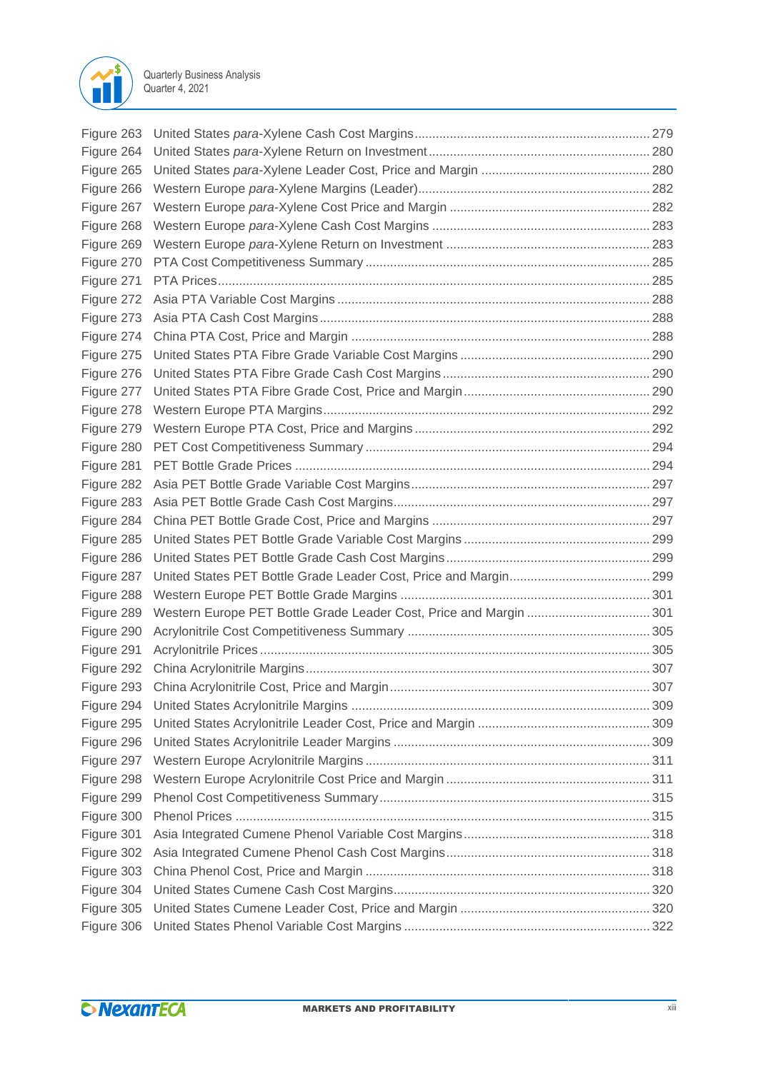

| Figure 263 |                                                                    |  |
|------------|--------------------------------------------------------------------|--|
| Figure 264 |                                                                    |  |
| Figure 265 |                                                                    |  |
| Figure 266 |                                                                    |  |
| Figure 267 |                                                                    |  |
| Figure 268 |                                                                    |  |
| Figure 269 |                                                                    |  |
| Figure 270 |                                                                    |  |
| Figure 271 |                                                                    |  |
| Figure 272 |                                                                    |  |
| Figure 273 |                                                                    |  |
| Figure 274 |                                                                    |  |
| Figure 275 |                                                                    |  |
| Figure 276 |                                                                    |  |
| Figure 277 |                                                                    |  |
| Figure 278 |                                                                    |  |
| Figure 279 |                                                                    |  |
| Figure 280 |                                                                    |  |
| Figure 281 |                                                                    |  |
| Figure 282 |                                                                    |  |
| Figure 283 |                                                                    |  |
| Figure 284 |                                                                    |  |
| Figure 285 |                                                                    |  |
| Figure 286 |                                                                    |  |
| Figure 287 |                                                                    |  |
| Figure 288 |                                                                    |  |
| Figure 289 | Western Europe PET Bottle Grade Leader Cost, Price and Margin  301 |  |
| Figure 290 |                                                                    |  |
| Figure 291 |                                                                    |  |
| Figure 292 |                                                                    |  |
| Figure 293 |                                                                    |  |
| Figure 294 |                                                                    |  |
| Figure 295 |                                                                    |  |
| Figure 296 |                                                                    |  |
| Figure 297 |                                                                    |  |
| Figure 298 |                                                                    |  |
| Figure 299 |                                                                    |  |
| Figure 300 |                                                                    |  |
| Figure 301 |                                                                    |  |
| Figure 302 |                                                                    |  |
| Figure 303 |                                                                    |  |
| Figure 304 |                                                                    |  |
| Figure 305 |                                                                    |  |
| Figure 306 |                                                                    |  |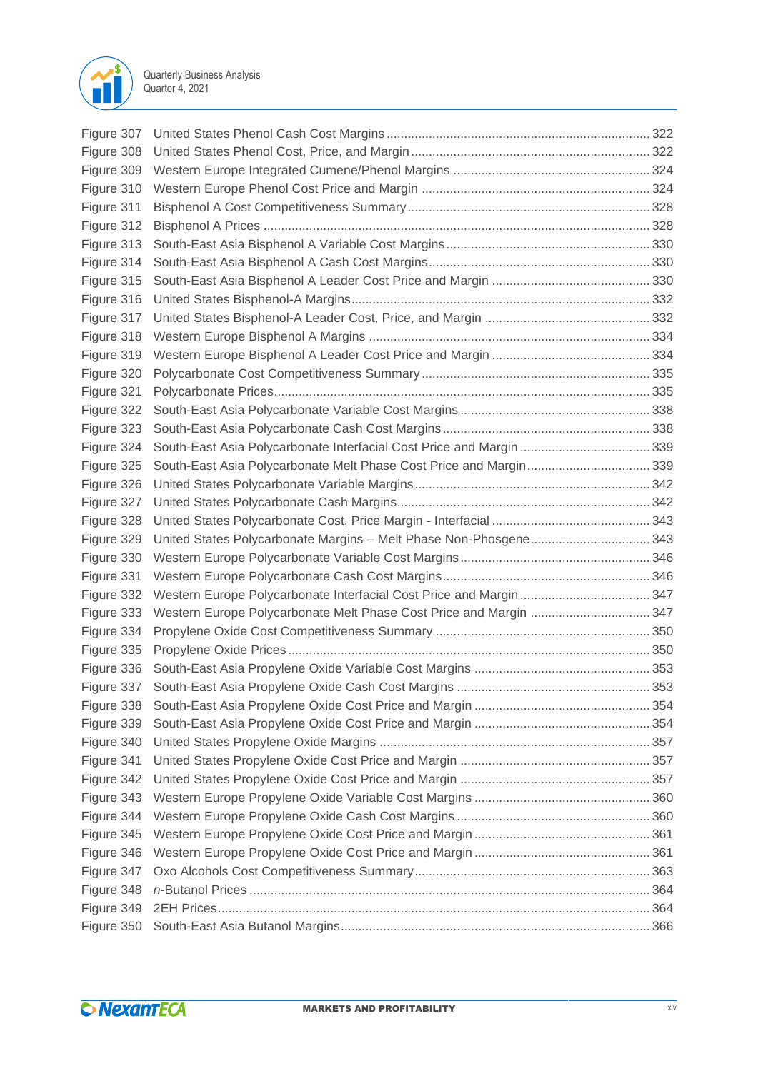

| Figure 307 |                                                                      |  |
|------------|----------------------------------------------------------------------|--|
| Figure 308 |                                                                      |  |
| Figure 309 |                                                                      |  |
| Figure 310 |                                                                      |  |
| Figure 311 |                                                                      |  |
| Figure 312 |                                                                      |  |
| Figure 313 |                                                                      |  |
| Figure 314 |                                                                      |  |
| Figure 315 |                                                                      |  |
| Figure 316 |                                                                      |  |
| Figure 317 |                                                                      |  |
| Figure 318 |                                                                      |  |
| Figure 319 |                                                                      |  |
| Figure 320 |                                                                      |  |
| Figure 321 |                                                                      |  |
| Figure 322 |                                                                      |  |
| Figure 323 |                                                                      |  |
| Figure 324 | South-East Asia Polycarbonate Interfacial Cost Price and Margin  339 |  |
| Figure 325 | South-East Asia Polycarbonate Melt Phase Cost Price and Margin 339   |  |
| Figure 326 |                                                                      |  |
| Figure 327 |                                                                      |  |
| Figure 328 |                                                                      |  |
| Figure 329 | United States Polycarbonate Margins - Melt Phase Non-Phosgene 343    |  |
| Figure 330 |                                                                      |  |
| Figure 331 |                                                                      |  |
| Figure 332 | Western Europe Polycarbonate Interfacial Cost Price and Margin  347  |  |
| Figure 333 | Western Europe Polycarbonate Melt Phase Cost Price and Margin  347   |  |
| Figure 334 |                                                                      |  |
| Figure 335 |                                                                      |  |
| Figure 336 |                                                                      |  |
| Figure 337 |                                                                      |  |
| Figure 338 |                                                                      |  |
| Figure 339 |                                                                      |  |
| Figure 340 |                                                                      |  |
| Figure 341 |                                                                      |  |
| Figure 342 |                                                                      |  |
| Figure 343 |                                                                      |  |
| Figure 344 |                                                                      |  |
| Figure 345 |                                                                      |  |
| Figure 346 |                                                                      |  |
| Figure 347 |                                                                      |  |
| Figure 348 |                                                                      |  |
| Figure 349 |                                                                      |  |
| Figure 350 |                                                                      |  |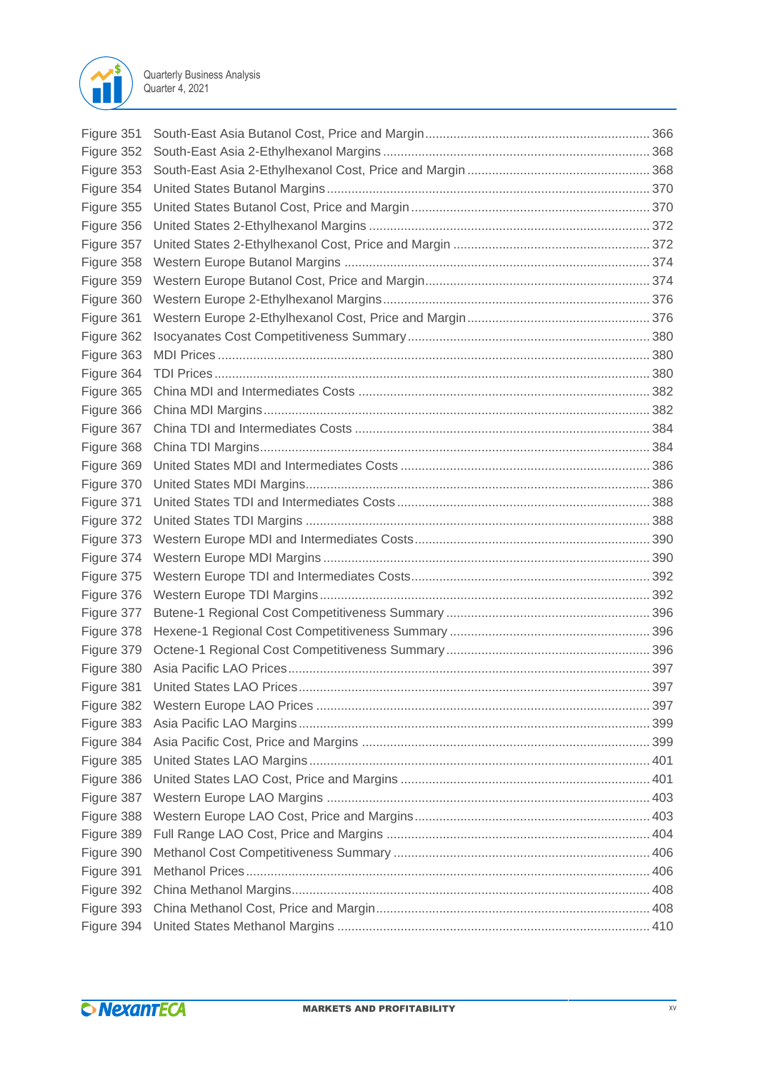

| Figure 351 |  |
|------------|--|
| Figure 352 |  |
| Figure 353 |  |
| Figure 354 |  |
| Figure 355 |  |
| Figure 356 |  |
| Figure 357 |  |
| Figure 358 |  |
| Figure 359 |  |
| Figure 360 |  |
| Figure 361 |  |
| Figure 362 |  |
| Figure 363 |  |
| Figure 364 |  |
| Figure 365 |  |
| Figure 366 |  |
| Figure 367 |  |
| Figure 368 |  |
| Figure 369 |  |
| Figure 370 |  |
| Figure 371 |  |
| Figure 372 |  |
| Figure 373 |  |
| Figure 374 |  |
| Figure 375 |  |
| Figure 376 |  |
| Figure 377 |  |
| Figure 378 |  |
| Figure 379 |  |
| Figure 380 |  |
| Figure 381 |  |
| Figure 382 |  |
| Figure 383 |  |
| Figure 384 |  |
| Figure 385 |  |
| Figure 386 |  |
| Figure 387 |  |
| Figure 388 |  |
| Figure 389 |  |
| Figure 390 |  |
| Figure 391 |  |
| Figure 392 |  |
| Figure 393 |  |
| Figure 394 |  |
|            |  |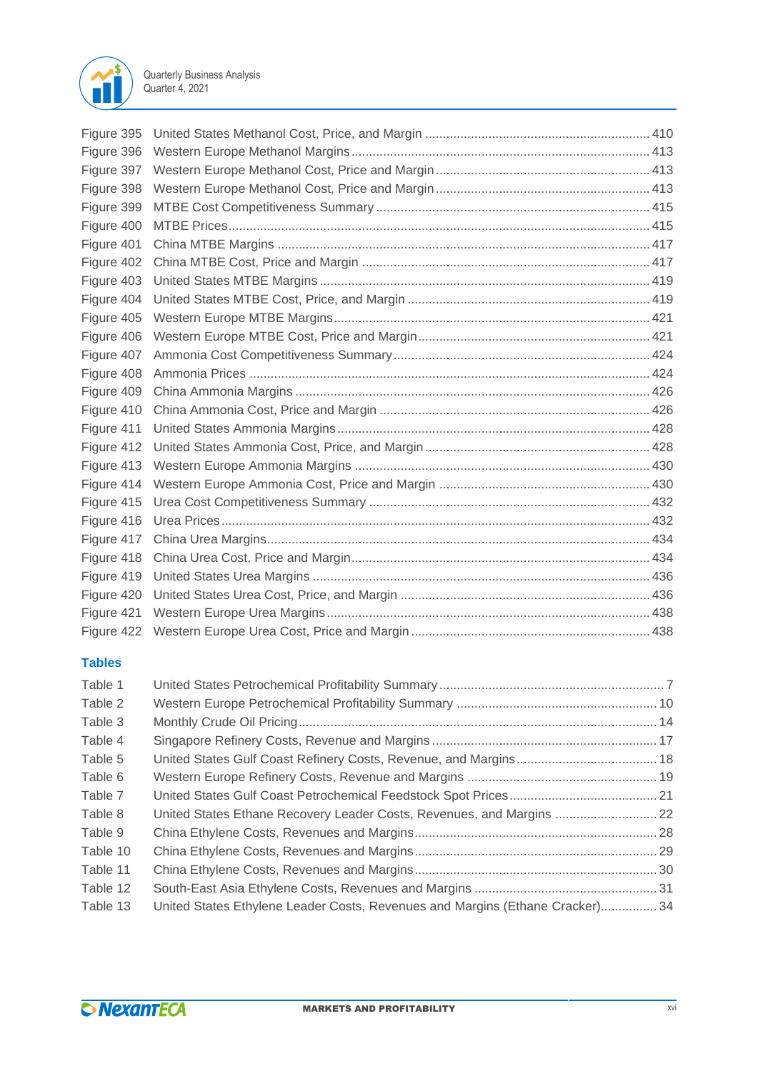

| Figure 395<br>Figure 396<br>Figure 397 |  |
|----------------------------------------|--|
|                                        |  |
|                                        |  |
| Figure 398                             |  |
| Figure 399                             |  |
| Figure 400                             |  |
| Figure 401                             |  |
| Figure 402                             |  |
| Figure 403                             |  |
| Figure 404                             |  |
| Figure 405                             |  |
| Figure 406                             |  |
| Figure 407                             |  |
| Figure 408                             |  |
| Figure 409                             |  |
| Figure 410                             |  |
| Figure 411                             |  |
| Figure 412                             |  |
| Figure 413                             |  |
| Figure 414                             |  |
| Figure 415                             |  |
| Figure 416                             |  |
| Figure 417                             |  |
| Figure 418                             |  |
| Figure 419                             |  |
| Figure 420                             |  |
| Figure 421                             |  |
| Figure 422                             |  |

### **Tables**

| Table 1  |                                                                               |  |
|----------|-------------------------------------------------------------------------------|--|
| Table 2  |                                                                               |  |
| Table 3  |                                                                               |  |
| Table 4  |                                                                               |  |
| Table 5  |                                                                               |  |
| Table 6  |                                                                               |  |
| Table 7  |                                                                               |  |
| Table 8  | United States Ethane Recovery Leader Costs, Revenues, and Margins  22         |  |
| Table 9  |                                                                               |  |
| Table 10 |                                                                               |  |
| Table 11 |                                                                               |  |
| Table 12 |                                                                               |  |
| Table 13 | United States Ethylene Leader Costs, Revenues and Margins (Ethane Cracker) 34 |  |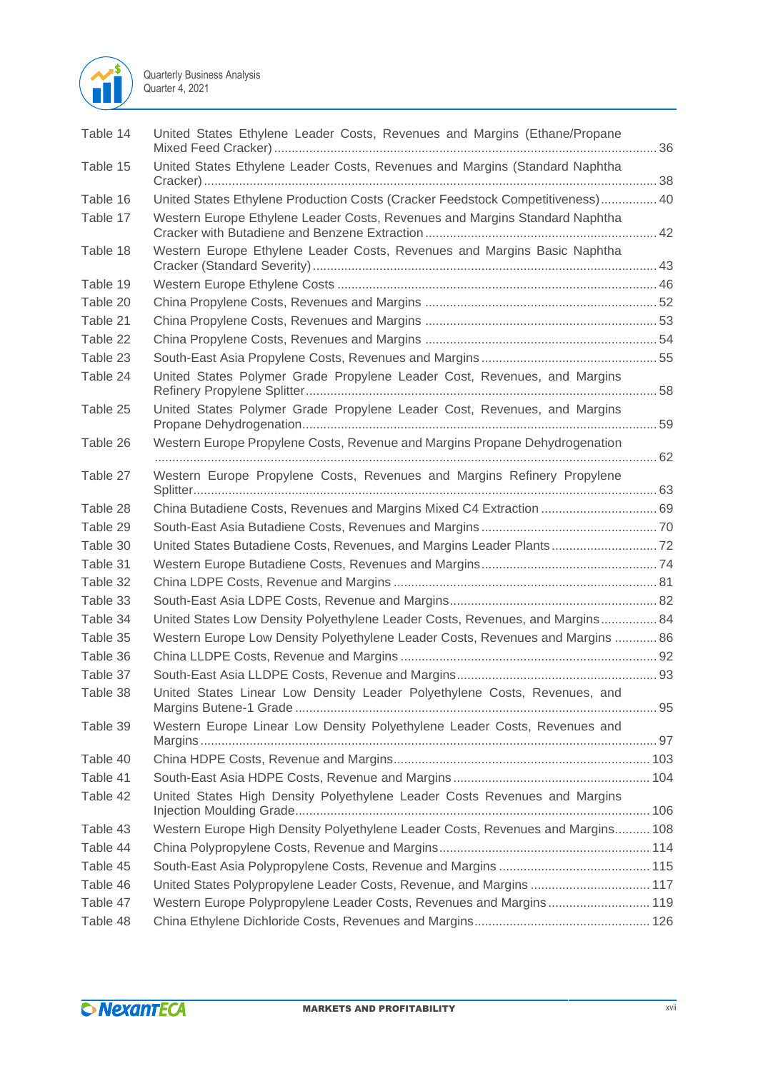

| Table 14 | United States Ethylene Leader Costs, Revenues and Margins (Ethane/Propane       |  |
|----------|---------------------------------------------------------------------------------|--|
| Table 15 | United States Ethylene Leader Costs, Revenues and Margins (Standard Naphtha     |  |
| Table 16 | United States Ethylene Production Costs (Cracker Feedstock Competitiveness) 40  |  |
| Table 17 | Western Europe Ethylene Leader Costs, Revenues and Margins Standard Naphtha     |  |
| Table 18 | Western Europe Ethylene Leader Costs, Revenues and Margins Basic Naphtha        |  |
| Table 19 |                                                                                 |  |
| Table 20 |                                                                                 |  |
| Table 21 |                                                                                 |  |
| Table 22 |                                                                                 |  |
| Table 23 |                                                                                 |  |
| Table 24 | United States Polymer Grade Propylene Leader Cost, Revenues, and Margins        |  |
| Table 25 | United States Polymer Grade Propylene Leader Cost, Revenues, and Margins        |  |
| Table 26 | Western Europe Propylene Costs, Revenue and Margins Propane Dehydrogenation     |  |
| Table 27 | Western Europe Propylene Costs, Revenues and Margins Refinery Propylene         |  |
| Table 28 | China Butadiene Costs, Revenues and Margins Mixed C4 Extraction  69             |  |
| Table 29 |                                                                                 |  |
| Table 30 | United States Butadiene Costs, Revenues, and Margins Leader Plants 72           |  |
| Table 31 |                                                                                 |  |
| Table 32 |                                                                                 |  |
| Table 33 |                                                                                 |  |
| Table 34 | United States Low Density Polyethylene Leader Costs, Revenues, and Margins 84   |  |
| Table 35 | Western Europe Low Density Polyethylene Leader Costs, Revenues and Margins  86  |  |
| Table 36 |                                                                                 |  |
| Table 37 |                                                                                 |  |
| Table 38 | United States Linear Low Density Leader Polyethylene Costs, Revenues, and       |  |
| Table 39 | Western Europe Linear Low Density Polyethylene Leader Costs, Revenues and       |  |
| Table 40 |                                                                                 |  |
| Table 41 |                                                                                 |  |
| Table 42 | United States High Density Polyethylene Leader Costs Revenues and Margins       |  |
| Table 43 | Western Europe High Density Polyethylene Leader Costs, Revenues and Margins 108 |  |
| Table 44 |                                                                                 |  |
| Table 45 |                                                                                 |  |
| Table 46 | United States Polypropylene Leader Costs, Revenue, and Margins  117             |  |
| Table 47 | Western Europe Polypropylene Leader Costs, Revenues and Margins 119             |  |
| Table 48 |                                                                                 |  |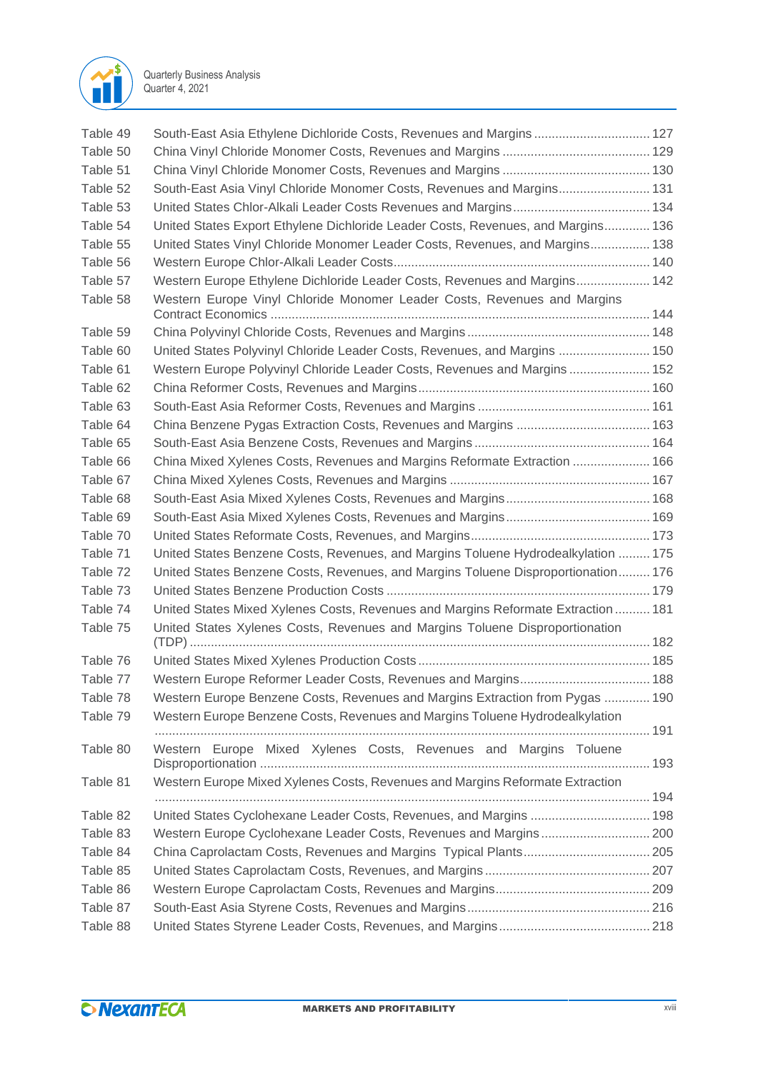

| Table 49 | South-East Asia Ethylene Dichloride Costs, Revenues and Margins 127               |  |
|----------|-----------------------------------------------------------------------------------|--|
| Table 50 |                                                                                   |  |
| Table 51 |                                                                                   |  |
| Table 52 | South-East Asia Vinyl Chloride Monomer Costs, Revenues and Margins 131            |  |
| Table 53 |                                                                                   |  |
| Table 54 | United States Export Ethylene Dichloride Leader Costs, Revenues, and Margins 136  |  |
| Table 55 | United States Vinyl Chloride Monomer Leader Costs, Revenues, and Margins 138      |  |
| Table 56 |                                                                                   |  |
| Table 57 | Western Europe Ethylene Dichloride Leader Costs, Revenues and Margins 142         |  |
| Table 58 | Western Europe Vinyl Chloride Monomer Leader Costs, Revenues and Margins          |  |
| Table 59 |                                                                                   |  |
| Table 60 | United States Polyvinyl Chloride Leader Costs, Revenues, and Margins  150         |  |
| Table 61 | Western Europe Polyvinyl Chloride Leader Costs, Revenues and Margins 152          |  |
| Table 62 |                                                                                   |  |
| Table 63 |                                                                                   |  |
| Table 64 |                                                                                   |  |
| Table 65 |                                                                                   |  |
| Table 66 | China Mixed Xylenes Costs, Revenues and Margins Reformate Extraction  166         |  |
| Table 67 |                                                                                   |  |
| Table 68 |                                                                                   |  |
| Table 69 |                                                                                   |  |
| Table 70 |                                                                                   |  |
| Table 71 | United States Benzene Costs, Revenues, and Margins Toluene Hydrodealkylation  175 |  |
| Table 72 | United States Benzene Costs, Revenues, and Margins Toluene Disproportionation 176 |  |
| Table 73 |                                                                                   |  |
| Table 74 | United States Mixed Xylenes Costs, Revenues and Margins Reformate Extraction  181 |  |
| Table 75 | United States Xylenes Costs, Revenues and Margins Toluene Disproportionation      |  |
| Table 76 |                                                                                   |  |
| Table 77 | Western Europe Reformer Leader Costs, Revenues and Margins 188                    |  |
| Table 78 | Western Europe Benzene Costs, Revenues and Margins Extraction from Pygas  190     |  |
| Table 79 | Western Europe Benzene Costs, Revenues and Margins Toluene Hydrodealkylation      |  |
| Table 80 | Western Europe Mixed Xylenes Costs, Revenues and Margins Toluene                  |  |
| Table 81 | Western Europe Mixed Xylenes Costs, Revenues and Margins Reformate Extraction     |  |
| Table 82 | United States Cyclohexane Leader Costs, Revenues, and Margins  198                |  |
| Table 83 |                                                                                   |  |
| Table 84 | China Caprolactam Costs, Revenues and Margins Typical Plants 205                  |  |
| Table 85 |                                                                                   |  |
| Table 86 |                                                                                   |  |
| Table 87 |                                                                                   |  |
| Table 88 |                                                                                   |  |
|          |                                                                                   |  |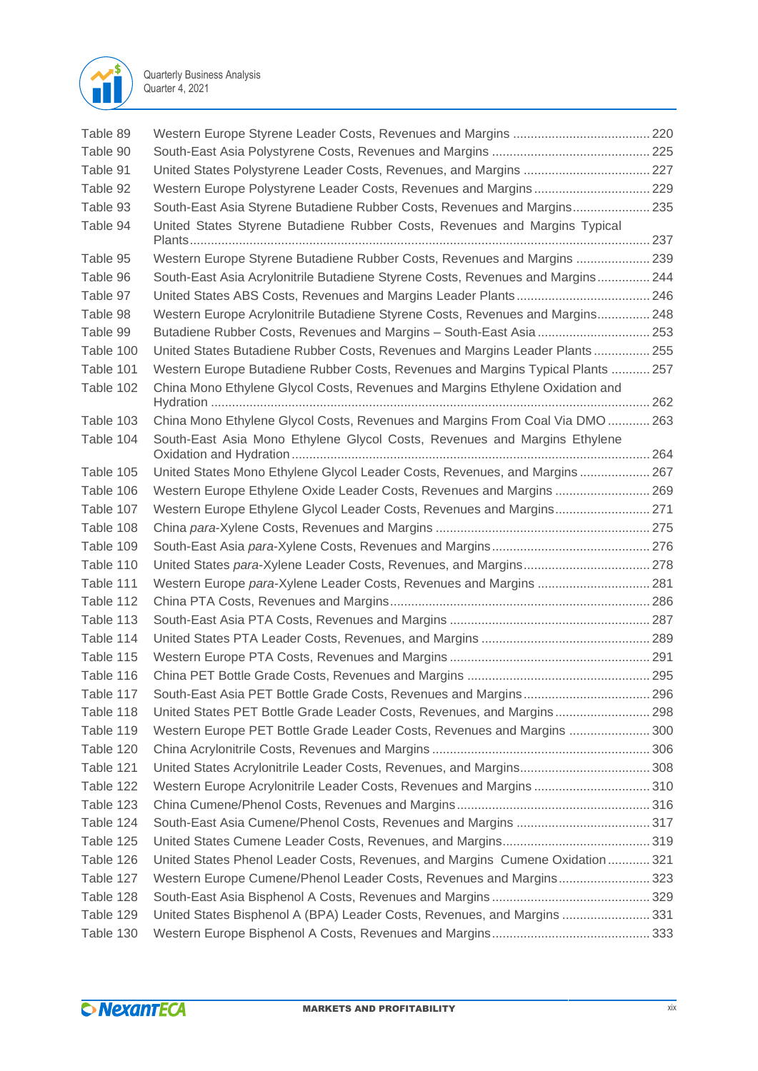

| Table 89  |                                                                                 |  |
|-----------|---------------------------------------------------------------------------------|--|
| Table 90  |                                                                                 |  |
| Table 91  | United States Polystyrene Leader Costs, Revenues, and Margins  227              |  |
| Table 92  | Western Europe Polystyrene Leader Costs, Revenues and Margins 229               |  |
| Table 93  | South-East Asia Styrene Butadiene Rubber Costs, Revenues and Margins 235        |  |
| Table 94  | United States Styrene Butadiene Rubber Costs, Revenues and Margins Typical      |  |
|           |                                                                                 |  |
| Table 95  | Western Europe Styrene Butadiene Rubber Costs, Revenues and Margins  239        |  |
| Table 96  | South-East Asia Acrylonitrile Butadiene Styrene Costs, Revenues and Margins 244 |  |
| Table 97  |                                                                                 |  |
| Table 98  | Western Europe Acrylonitrile Butadiene Styrene Costs, Revenues and Margins 248  |  |
| Table 99  | Butadiene Rubber Costs, Revenues and Margins - South-East Asia  253             |  |
| Table 100 | United States Butadiene Rubber Costs, Revenues and Margins Leader Plants 255    |  |
| Table 101 | Western Europe Butadiene Rubber Costs, Revenues and Margins Typical Plants  257 |  |
| Table 102 | China Mono Ethylene Glycol Costs, Revenues and Margins Ethylene Oxidation and   |  |
| Table 103 | China Mono Ethylene Glycol Costs, Revenues and Margins From Coal Via DMO 263    |  |
| Table 104 | South-East Asia Mono Ethylene Glycol Costs, Revenues and Margins Ethylene       |  |
| Table 105 | United States Mono Ethylene Glycol Leader Costs, Revenues, and Margins 267      |  |
| Table 106 | Western Europe Ethylene Oxide Leader Costs, Revenues and Margins  269           |  |
| Table 107 | Western Europe Ethylene Glycol Leader Costs, Revenues and Margins 271           |  |
| Table 108 |                                                                                 |  |
| Table 109 |                                                                                 |  |
| Table 110 |                                                                                 |  |
| Table 111 | Western Europe para-Xylene Leader Costs, Revenues and Margins  281              |  |
| Table 112 |                                                                                 |  |
| Table 113 |                                                                                 |  |
| Table 114 |                                                                                 |  |
| Table 115 |                                                                                 |  |
| Table 116 |                                                                                 |  |
| Table 117 | South-East Asia PET Bottle Grade Costs, Revenues and Margins 296                |  |
| Table 118 | United States PET Bottle Grade Leader Costs, Revenues, and Margins 298          |  |
| Table 119 | Western Europe PET Bottle Grade Leader Costs, Revenues and Margins  300         |  |
| Table 120 |                                                                                 |  |
| Table 121 |                                                                                 |  |
| Table 122 | Western Europe Acrylonitrile Leader Costs, Revenues and Margins 310             |  |
| Table 123 |                                                                                 |  |
| Table 124 |                                                                                 |  |
| Table 125 |                                                                                 |  |
| Table 126 | United States Phenol Leader Costs, Revenues, and Margins Cumene Oxidation 321   |  |
| Table 127 | Western Europe Cumene/Phenol Leader Costs, Revenues and Margins 323             |  |
| Table 128 |                                                                                 |  |
| Table 129 | United States Bisphenol A (BPA) Leader Costs, Revenues, and Margins  331        |  |
| Table 130 |                                                                                 |  |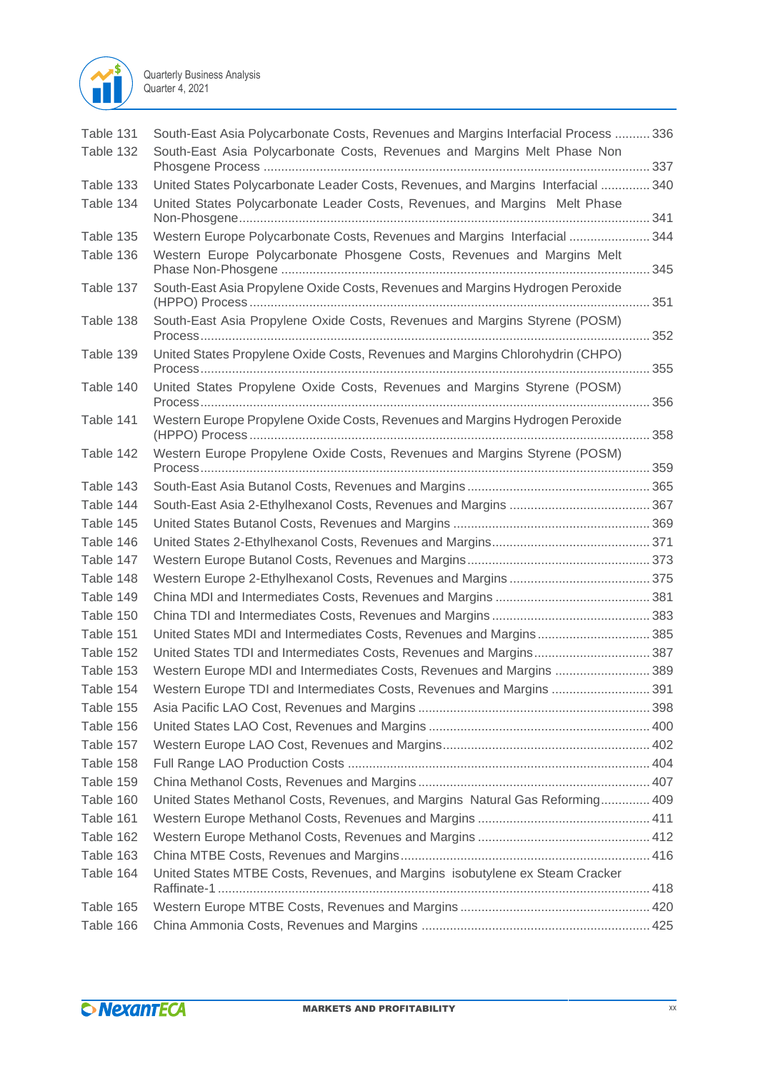

| Table 131 | South-East Asia Polycarbonate Costs, Revenues and Margins Interfacial Process  336 |      |
|-----------|------------------------------------------------------------------------------------|------|
| Table 132 | South-East Asia Polycarbonate Costs, Revenues and Margins Melt Phase Non           |      |
| Table 133 | United States Polycarbonate Leader Costs, Revenues, and Margins Interfacial  340   |      |
| Table 134 | United States Polycarbonate Leader Costs, Revenues, and Margins Melt Phase         |      |
| Table 135 | Western Europe Polycarbonate Costs, Revenues and Margins Interfacial  344          |      |
| Table 136 | Western Europe Polycarbonate Phosgene Costs, Revenues and Margins Melt             |      |
| Table 137 | South-East Asia Propylene Oxide Costs, Revenues and Margins Hydrogen Peroxide      |      |
| Table 138 | South-East Asia Propylene Oxide Costs, Revenues and Margins Styrene (POSM)         |      |
| Table 139 | United States Propylene Oxide Costs, Revenues and Margins Chlorohydrin (CHPO)      |      |
| Table 140 | United States Propylene Oxide Costs, Revenues and Margins Styrene (POSM)           |      |
| Table 141 | Western Europe Propylene Oxide Costs, Revenues and Margins Hydrogen Peroxide       |      |
| Table 142 | Western Europe Propylene Oxide Costs, Revenues and Margins Styrene (POSM)          |      |
| Table 143 |                                                                                    |      |
| Table 144 |                                                                                    |      |
| Table 145 |                                                                                    |      |
| Table 146 |                                                                                    |      |
| Table 147 |                                                                                    |      |
| Table 148 |                                                                                    |      |
| Table 149 |                                                                                    |      |
| Table 150 |                                                                                    |      |
| Table 151 | United States MDI and Intermediates Costs, Revenues and Margins 385                |      |
| Table 152 | United States TDI and Intermediates Costs, Revenues and Margins387                 |      |
| Table 153 | Western Europe MDI and Intermediates Costs, Revenues and Margins  389              |      |
| Table 154 | Western Europe TDI and Intermediates Costs, Revenues and Margins                   | .391 |
| Table 155 |                                                                                    |      |
| Table 156 |                                                                                    |      |
| Table 157 |                                                                                    |      |
| Table 158 |                                                                                    |      |
| Table 159 |                                                                                    |      |
| Table 160 | United States Methanol Costs, Revenues, and Margins Natural Gas Reforming 409      |      |
| Table 161 |                                                                                    |      |
| Table 162 |                                                                                    |      |
| Table 163 |                                                                                    |      |
| Table 164 | United States MTBE Costs, Revenues, and Margins isobutylene ex Steam Cracker       |      |
|           |                                                                                    |      |
| Table 165 |                                                                                    |      |
| Table 166 |                                                                                    |      |